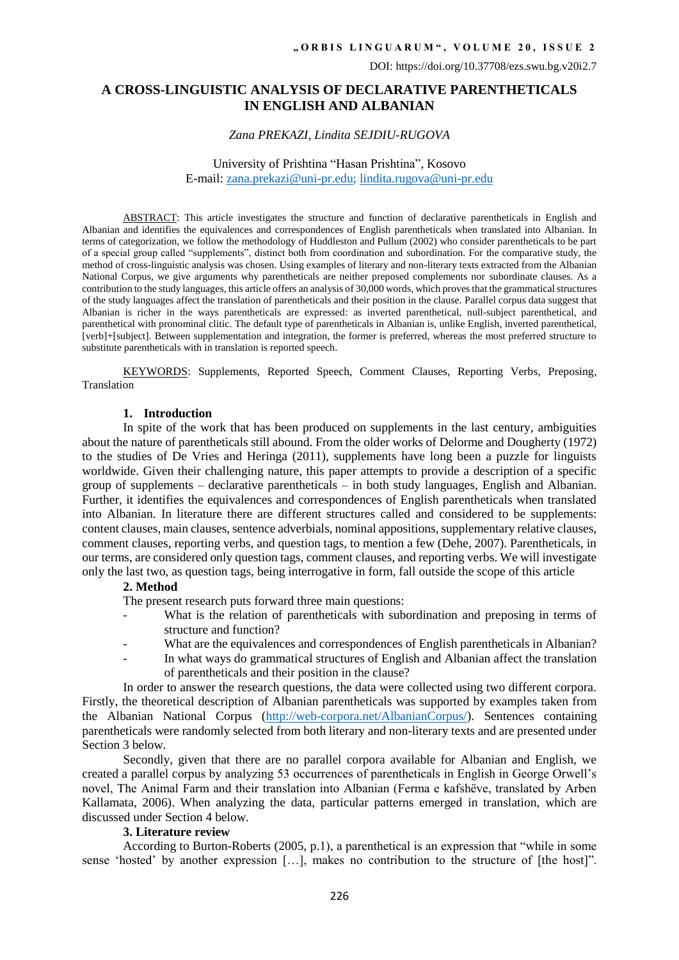# **A CROSS-LINGUISTIC ANALYSIS OF DECLARATIVE PARENTHETICALS IN ENGLISH AND ALBANIAN**

## *Zana PREKAZI, Lindita SEJDIU-RUGOVA*

## University of Prishtina "Hasan Prishtina", Kosovo E-mail: [zana.prekazi@uni-pr.edu;](mailto:zana.prekazi@uni-pr.edu) [lindita.rugova@uni-pr.edu](mailto:lindita.rugova@uni-pr.edu)

ABSTRACT: This article investigates the structure and function of declarative parentheticals in English and Albanian and identifies the equivalences and correspondences of English parentheticals when translated into Albanian. In terms of categorization, we follow the methodology of Huddleston and Pullum (2002) who consider parentheticals to be part of a special group called "supplements", distinct both from coordination and subordination. For the comparative study, the method of cross-linguistic analysis was chosen. Using examples of literary and non-literary texts extracted from the Albanian National Corpus, we give arguments why parentheticals are neither preposed complements nor subordinate clauses. As a contribution to the study languages, this article offers an analysis of 30,000 words, which provesthat the grammatical structures of the study languages affect the translation of parentheticals and their position in the clause. Parallel corpus data suggest that Albanian is richer in the ways parentheticals are expressed: as inverted parenthetical, null-subject parenthetical, and parenthetical with pronominal clitic. The default type of parentheticals in Albanian is, unlike English, inverted parenthetical, [verb]+[subject]. Between supplementation and integration, the former is preferred, whereas the most preferred structure to substitute parentheticals with in translation is reported speech.

KEYWORDS: Supplements, Reported Speech, Comment Clauses, Reporting Verbs, Preposing, Translation

#### **1. Introduction**

In spite of the work that has been produced on supplements in the last century, ambiguities about the nature of parentheticals still abound. From the older works of Delorme and Dougherty (1972) to the studies of De Vries and Heringa (2011), supplements have long been a puzzle for linguists worldwide. Given their challenging nature, this paper attempts to provide a description of a specific group of supplements – declarative parentheticals – in both study languages, English and Albanian. Further, it identifies the equivalences and correspondences of English parentheticals when translated into Albanian. In literature there are different structures called and considered to be supplements: content clauses, main clauses, sentence adverbials, nominal appositions, supplementary relative clauses, comment clauses, reporting verbs, and question tags, to mention a few (Dehe, 2007). Parentheticals, in our terms, are considered only question tags, comment clauses, and reporting verbs. We will investigate only the last two, as question tags, being interrogative in form, fall outside the scope of this article

#### **2. Method**

The present research puts forward three main questions:

- What is the relation of parentheticals with subordination and preposing in terms of structure and function?
- What are the equivalences and correspondences of English parentheticals in Albanian?
- In what ways do grammatical structures of English and Albanian affect the translation of parentheticals and their position in the clause?

In order to answer the research questions, the data were collected using two different corpora. Firstly, the theoretical description of Albanian parentheticals was supported by examples taken from the Albanian National Corpus [\(http://web-corpora.net/AlbanianCorpus/\)](http://web-corpora.net/AlbanianCorpus/). Sentences containing parentheticals were randomly selected from both literary and non-literary texts and are presented under Section 3 below.

Secondly, given that there are no parallel corpora available for Albanian and English, we created a parallel corpus by analyzing 53 occurrences of parentheticals in English in George Orwell's novel, The Animal Farm and their translation into Albanian (Ferma e kafshëve, translated by Arben Kallamata, 2006). When analyzing the data, particular patterns emerged in translation, which are discussed under Section 4 below.

# **3. Literature review**

According to Burton-Roberts (2005, p.1), a parenthetical is an expression that "while in some sense 'hosted' by another expression […], makes no contribution to the structure of [the host]".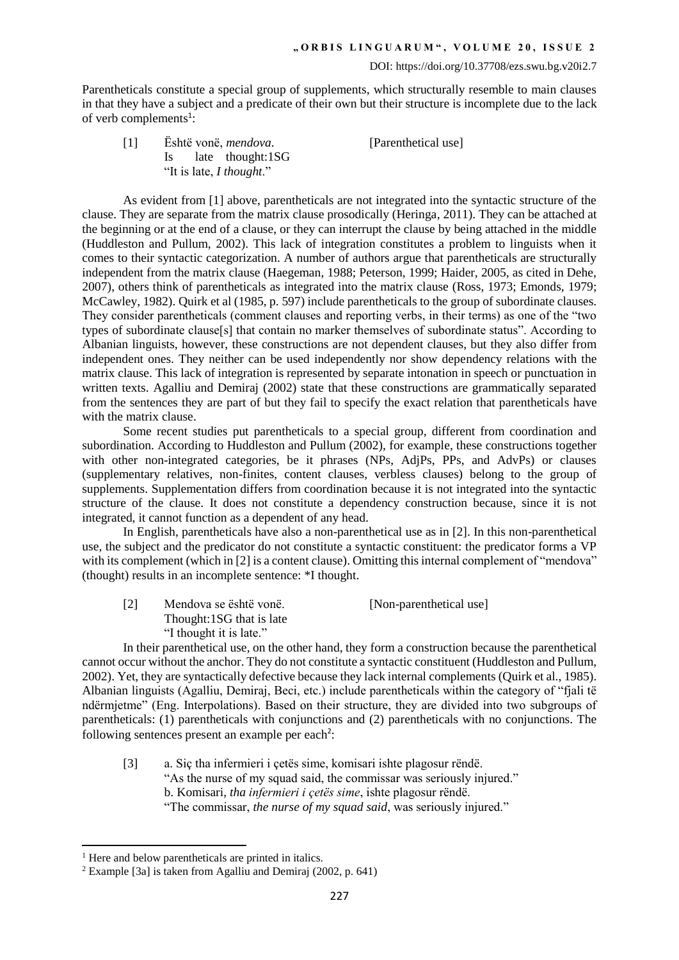Parentheticals constitute a special group of supplements, which structurally resemble to main clauses in that they have a subject and a predicate of their own but their structure is incomplete due to the lack of verb complements<sup>1</sup>:

[1] Është vonë, *mendova*. [Parenthetical use] Is late thought:1SG "It is late, *I thought*."

As evident from [1] above, parentheticals are not integrated into the syntactic structure of the clause. They are separate from the matrix clause prosodically (Heringa, 2011). They can be attached at the beginning or at the end of a clause, or they can interrupt the clause by being attached in the middle (Huddleston and Pullum, 2002). This lack of integration constitutes a problem to linguists when it comes to their syntactic categorization. A number of authors argue that parentheticals are structurally independent from the matrix clause (Haegeman, 1988; Peterson, 1999; Haider, 2005, as cited in Dehe, 2007), others think of parentheticals as integrated into the matrix clause (Ross, 1973; Emonds, 1979; McCawley, 1982). Quirk et al (1985, p. 597) include parentheticals to the group of subordinate clauses. They consider parentheticals (comment clauses and reporting verbs, in their terms) as one of the "two types of subordinate clause[s] that contain no marker themselves of subordinate status". According to Albanian linguists, however, these constructions are not dependent clauses, but they also differ from independent ones. They neither can be used independently nor show dependency relations with the matrix clause. This lack of integration is represented by separate intonation in speech or punctuation in written texts. Agalliu and Demiraj (2002) state that these constructions are grammatically separated from the sentences they are part of but they fail to specify the exact relation that parentheticals have with the matrix clause.

Some recent studies put parentheticals to a special group, different from coordination and subordination. According to Huddleston and Pullum (2002), for example, these constructions together with other non-integrated categories, be it phrases (NPs, AdjPs, PPs, and AdvPs) or clauses (supplementary relatives, non-finites, content clauses, verbless clauses) belong to the group of supplements. Supplementation differs from coordination because it is not integrated into the syntactic structure of the clause. It does not constitute a dependency construction because, since it is not integrated, it cannot function as a dependent of any head.

In English, parentheticals have also a non-parenthetical use as in [2]. In this non-parenthetical use, the subject and the predicator do not constitute a syntactic constituent: the predicator forms a VP with its complement (which in [2] is a content clause). Omitting this internal complement of "mendova" (thought) results in an incomplete sentence: \*I thought.

| $[2]$ | Mendova se është vonë.   | [Non-parenthetical use] |
|-------|--------------------------|-------------------------|
|       | Thought:1SG that is late |                         |
|       | "I thought it is late."  |                         |

In their parenthetical use, on the other hand, they form a construction because the parenthetical cannot occur without the anchor. They do not constitute a syntactic constituent (Huddleston and Pullum, 2002). Yet, they are syntactically defective because they lack internal complements (Quirk et al., 1985). Albanian linguists (Agalliu, Demiraj, Beci, etc.) include parentheticals within the category of "fjali të ndërmjetme" (Eng. Interpolations). Based on their structure, they are divided into two subgroups of parentheticals: (1) parentheticals with conjunctions and (2) parentheticals with no conjunctions. The following sentences present an example per each<sup>2</sup>:

[3] a. Siç tha infermieri i çetës sime, komisari ishte plagosur rëndë. "As the nurse of my squad said, the commissar was seriously injured." b. Komisari, *tha infermieri i çetës sime*, ishte plagosur rëndë. "The commissar, *the nurse of my squad said*, was seriously injured."

**.** 

 $<sup>1</sup>$  Here and below parentheticals are printed in italics.</sup>

<sup>&</sup>lt;sup>2</sup> Example [3a] is taken from Agalliu and Demiraj (2002, p. 641)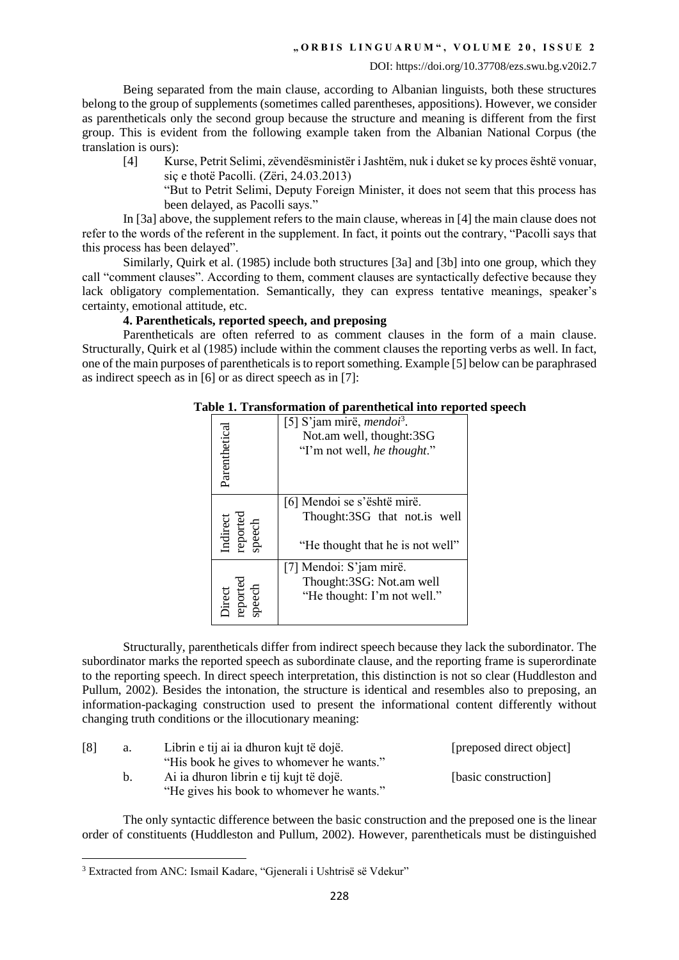Being separated from the main clause, according to Albanian linguists, both these structures belong to the group of supplements (sometimes called parentheses, appositions). However, we consider as parentheticals only the second group because the structure and meaning is different from the first group. This is evident from the following example taken from the Albanian National Corpus (the translation is ours):

[4] Kurse, Petrit Selimi, zëvendësministër i Jashtëm, nuk i duket se ky proces është vonuar, siç e thotë Pacolli. (Zëri, 24.03.2013)

"But to Petrit Selimi, Deputy Foreign Minister, it does not seem that this process has been delayed, as Pacolli says."

In [3a] above, the supplement refers to the main clause, whereas in [4] the main clause does not refer to the words of the referent in the supplement. In fact, it points out the contrary, "Pacolli says that this process has been delayed".

Similarly, Quirk et al. (1985) include both structures [3a] and [3b] into one group, which they call "comment clauses". According to them, comment clauses are syntactically defective because they lack obligatory complementation. Semantically, they can express tentative meanings, speaker's certainty, emotional attitude, etc.

# **4. Parentheticals, reported speech, and preposing**

Parentheticals are often referred to as comment clauses in the form of a main clause. Structurally, Quirk et al (1985) include within the comment clauses the reporting verbs as well. In fact, one of the main purposes of parentheticals is to report something. Example [5] below can be paraphrased as indirect speech as in [6] or as direct speech as in [7]:

| н ог рагенисисат нио героя     |                                                                                                         |  |
|--------------------------------|---------------------------------------------------------------------------------------------------------|--|
| Parenthetical                  | [5] S'jam mirë, <i>mendoi</i> <sup>3</sup> .<br>Not.am well, thought:3SG<br>"I'm not well, he thought." |  |
| Indirect<br>reported<br>speech | [6] Mendoi se s'është mirë.<br>Thought:3SG that not.is well<br>"He thought that he is not well"         |  |
| Direct<br>reported<br>speech   | [7] Mendoi: S'jam mirë.<br>Thought:3SG: Not.am well<br>"He thought: I'm not well."                      |  |

# **Table 1. Transformation of parenthetical into reported speech**

Structurally, parentheticals differ from indirect speech because they lack the subordinator. The subordinator marks the reported speech as subordinate clause, and the reporting frame is superordinate to the reporting speech. In direct speech interpretation, this distinction is not so clear (Huddleston and Pullum, 2002). Besides the intonation, the structure is identical and resembles also to preposing, an information-packaging construction used to present the informational content differently without changing truth conditions or the illocutionary meaning:

| [8] | a. | Librin e tij ai ia dhuron kujt të dojë.   | [preposed direct object] |
|-----|----|-------------------------------------------|--------------------------|
|     |    | "His book he gives to whomever he wants." |                          |
|     | b. | Ai ia dhuron librin e tij kujt të dojë.   | [basic construction]     |
|     |    | "He gives his book to whomever he wants." |                          |

The only syntactic difference between the basic construction and the preposed one is the linear order of constituents (Huddleston and Pullum, 2002). However, parentheticals must be distinguished

**.** 

<sup>&</sup>lt;sup>3</sup> Extracted from ANC: Ismail Kadare, "Gjenerali i Ushtrisë së Vdekur"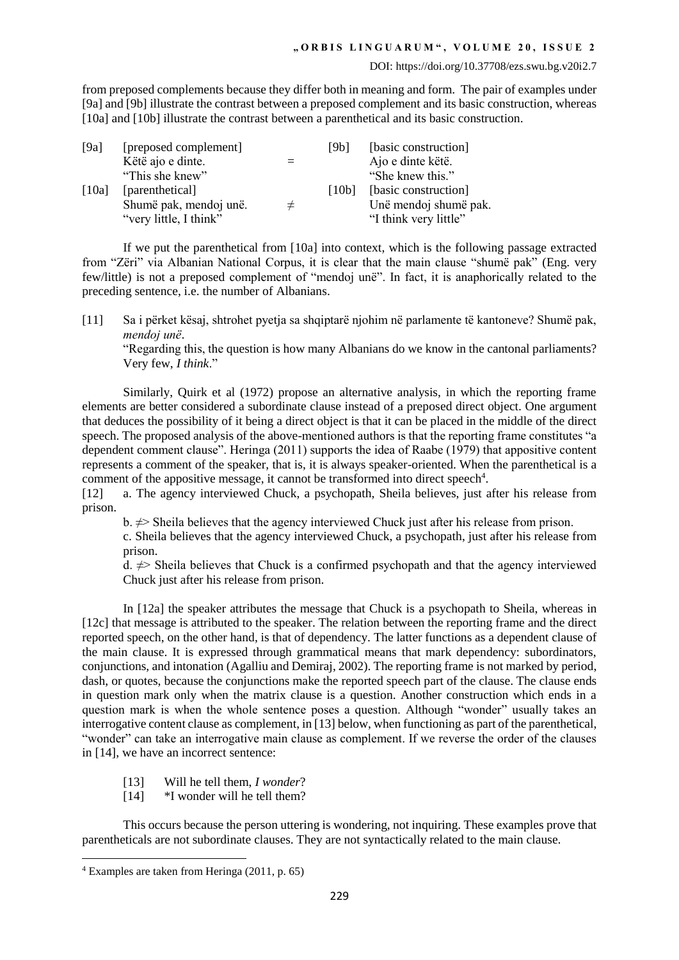### **" O R B I S L I N G U A R U M " , V O L U M E 2 0 , I S S U E 2**

### DOI: https://doi.org/10.37708/ezs.swu.bg.v20i2.7

from preposed complements because they differ both in meaning and form. The pair of examples under [9a] and [9b] illustrate the contrast between a preposed complement and its basic construction, whereas [10a] and [10b] illustrate the contrast between a parenthetical and its basic construction.

| [9a]  | [preposed complement]<br>Këtë ajo e dinte.<br>"This she knew"       |       | [9b]  | [basic construction]<br>Ajo e dinte këtë.<br>"She knew this."          |
|-------|---------------------------------------------------------------------|-------|-------|------------------------------------------------------------------------|
| [10a] | [parenthetical]<br>Shumë pak, mendoj unë.<br>"very little, I think" | $\pm$ | [10b] | [basic construction]<br>Unë mendoj shumë pak.<br>"I think very little" |

If we put the parenthetical from [10a] into context, which is the following passage extracted from "Zëri" via Albanian National Corpus, it is clear that the main clause "shumë pak" (Eng. very few/little) is not a preposed complement of "mendoj unë". In fact, it is anaphorically related to the preceding sentence, i.e. the number of Albanians.

[11] Sa i përket kësaj, shtrohet pyetja sa shqiptarë njohim në parlamente të kantoneve? Shumë pak, *mendoj unë*.

"Regarding this, the question is how many Albanians do we know in the cantonal parliaments? Very few, *I think*."

Similarly, Quirk et al (1972) propose an alternative analysis, in which the reporting frame elements are better considered a subordinate clause instead of a preposed direct object. One argument that deduces the possibility of it being a direct object is that it can be placed in the middle of the direct speech. The proposed analysis of the above-mentioned authors is that the reporting frame constitutes "a dependent comment clause". Heringa (2011) supports the idea of Raabe (1979) that appositive content represents a comment of the speaker, that is, it is always speaker-oriented. When the parenthetical is a comment of the appositive message, it cannot be transformed into direct speech<sup>4</sup>.

[12] a. The agency interviewed Chuck, a psychopath, Sheila believes, just after his release from prison.

b.  $\neq$  Sheila believes that the agency interviewed Chuck just after his release from prison.

c. Sheila believes that the agency interviewed Chuck, a psychopath, just after his release from prison.

d.  $\neq$  Sheila believes that Chuck is a confirmed psychopath and that the agency interviewed Chuck just after his release from prison.

In [12a] the speaker attributes the message that Chuck is a psychopath to Sheila, whereas in [12c] that message is attributed to the speaker. The relation between the reporting frame and the direct reported speech, on the other hand, is that of dependency. The latter functions as a dependent clause of the main clause. It is expressed through grammatical means that mark dependency: subordinators, conjunctions, and intonation (Agalliu and Demiraj, 2002). The reporting frame is not marked by period, dash, or quotes, because the conjunctions make the reported speech part of the clause. The clause ends in question mark only when the matrix clause is a question. Another construction which ends in a question mark is when the whole sentence poses a question. Although "wonder" usually takes an interrogative content clause as complement, in [13] below, when functioning as part of the parenthetical, "wonder" can take an interrogative main clause as complement. If we reverse the order of the clauses in [14], we have an incorrect sentence:

- [13] Will he tell them, *I wonder*?
- [14]  $*$ I wonder will he tell them?

This occurs because the person uttering is wondering, not inquiring. These examples prove that parentheticals are not subordinate clauses. They are not syntactically related to the main clause.

**.** 

<sup>4</sup> Examples are taken from Heringa (2011, p. 65)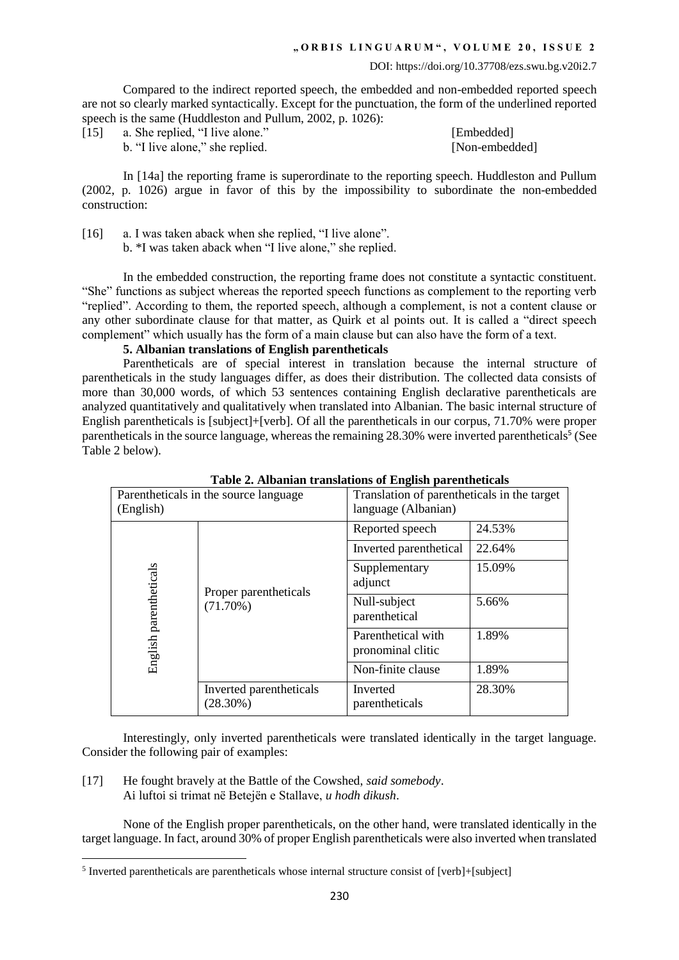Compared to the indirect reported speech, the embedded and non-embedded reported speech are not so clearly marked syntactically. Except for the punctuation, the form of the underlined reported speech is the same (Huddleston and Pullum, 2002, p. 1026):

[15] a. She replied, "I live alone." [Embedded]

b. "I live alone," she replied. [Non-embedded]

In [14a] the reporting frame is superordinate to the reporting speech. Huddleston and Pullum (2002, p. 1026) argue in favor of this by the impossibility to subordinate the non-embedded construction:

[16] a. I was taken aback when she replied, "I live alone".

b. \*I was taken aback when "I live alone," she replied.

In the embedded construction, the reporting frame does not constitute a syntactic constituent. "She" functions as subject whereas the reported speech functions as complement to the reporting verb "replied". According to them, the reported speech, although a complement, is not a content clause or any other subordinate clause for that matter, as Quirk et al points out. It is called a "direct speech complement" which usually has the form of a main clause but can also have the form of a text.

# **5. Albanian translations of English parentheticals**

Parentheticals are of special interest in translation because the internal structure of parentheticals in the study languages differ, as does their distribution. The collected data consists of more than 30,000 words, of which 53 sentences containing English declarative parentheticals are analyzed quantitatively and qualitatively when translated into Albanian. The basic internal structure of English parentheticals is [subject]+[verb]. Of all the parentheticals in our corpus, 71.70% were proper parentheticals in the source language, whereas the remaining 28.30% were inverted parentheticals<sup>5</sup> (See Table 2 below).

| Parentheticals in the source language<br>(English) |                                        | Translation of parentheticals in the target<br>language (Albanian) |        |
|----------------------------------------------------|----------------------------------------|--------------------------------------------------------------------|--------|
|                                                    | Proper parentheticals<br>(71.70%)      | Reported speech                                                    | 24.53% |
|                                                    |                                        | Inverted parenthetical                                             | 22.64% |
|                                                    |                                        | Supplementary<br>adjunct                                           | 15.09% |
|                                                    |                                        | Null-subject<br>parenthetical                                      | 5.66%  |
| English parentheticals                             |                                        | Parenthetical with<br>pronominal clitic                            | 1.89%  |
|                                                    |                                        | Non-finite clause                                                  | 1.89%  |
|                                                    | Inverted parentheticals<br>$(28.30\%)$ | Inverted<br>parentheticals                                         | 28.30% |

**Table 2. Albanian translations of English parentheticals**

Interestingly, only inverted parentheticals were translated identically in the target language. Consider the following pair of examples:

[17] He fought bravely at the Battle of the Cowshed, *said somebody*. Ai luftoi si trimat në Betejën e Stallave, *u hodh dikush*.

**.** 

None of the English proper parentheticals, on the other hand, were translated identically in the target language. In fact, around 30% of proper English parentheticals were also inverted when translated

<sup>&</sup>lt;sup>5</sup> Inverted parentheticals are parentheticals whose internal structure consist of [verb]+[subject]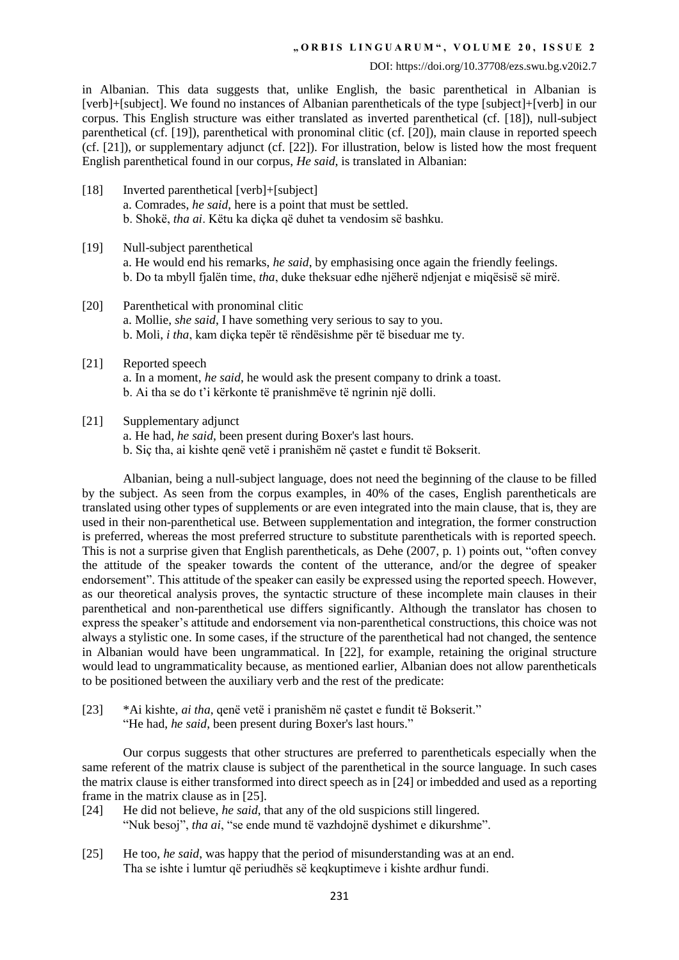## **" O R B I S L I N G U A R U M " , V O L U M E 2 0 , I S S U E 2**

#### DOI: https://doi.org/10.37708/ezs.swu.bg.v20i2.7

in Albanian. This data suggests that, unlike English, the basic parenthetical in Albanian is [verb]+[subject]. We found no instances of Albanian parentheticals of the type [subject]+[verb] in our corpus. This English structure was either translated as inverted parenthetical (cf. [18]), null-subject parenthetical (cf. [19]), parenthetical with pronominal clitic (cf. [20]), main clause in reported speech (cf. [21]), or supplementary adjunct (cf. [22]). For illustration, below is listed how the most frequent English parenthetical found in our corpus, *He said*, is translated in Albanian:

- [18] Inverted parenthetical [verb]+[subject] a. Comrades, *he said*, here is a point that must be settled. b. Shokë, *tha ai*. Këtu ka diçka që duhet ta vendosim së bashku.
- [19] Null-subject parenthetical a. He would end his remarks, *he said*, by emphasising once again the friendly feelings. b. Do ta mbyll fjalën time, *tha*, duke theksuar edhe njëherë ndjenjat e miqësisë së mirë.
- [20] Parenthetical with pronominal clitic a. Mollie, *she said*, I have something very serious to say to you. b. Moli, *i tha*, kam diçka tepër të rëndësishme për të biseduar me ty.
- [21] Reported speech a. In a moment, *he said*, he would ask the present company to drink a toast. b. Ai tha se do t'i kërkonte të pranishmëve të ngrinin një dolli.
- [21] Supplementary adjunct
	- a. He had, *he said*, been present during Boxer's last hours.
	- b. Siç tha, ai kishte qenë vetë i pranishëm në çastet e fundit të Bokserit.

Albanian, being a null-subject language, does not need the beginning of the clause to be filled by the subject. As seen from the corpus examples, in 40% of the cases, English parentheticals are translated using other types of supplements or are even integrated into the main clause, that is, they are used in their non-parenthetical use. Between supplementation and integration, the former construction is preferred, whereas the most preferred structure to substitute parentheticals with is reported speech. This is not a surprise given that English parentheticals, as Dehe (2007, p. 1) points out, "often convey the attitude of the speaker towards the content of the utterance, and/or the degree of speaker endorsement". This attitude of the speaker can easily be expressed using the reported speech. However, as our theoretical analysis proves, the syntactic structure of these incomplete main clauses in their parenthetical and non-parenthetical use differs significantly. Although the translator has chosen to express the speaker's attitude and endorsement via non-parenthetical constructions, this choice was not always a stylistic one. In some cases, if the structure of the parenthetical had not changed, the sentence in Albanian would have been ungrammatical. In [22], for example, retaining the original structure would lead to ungrammaticality because, as mentioned earlier, Albanian does not allow parentheticals to be positioned between the auxiliary verb and the rest of the predicate:

[23] \*Ai kishte, *ai tha*, qenë vetë i pranishëm në çastet e fundit të Bokserit." "He had, *he said*, been present during Boxer's last hours."

Our corpus suggests that other structures are preferred to parentheticals especially when the same referent of the matrix clause is subject of the parenthetical in the source language. In such cases the matrix clause is either transformed into direct speech as in [24] or imbedded and used as a reporting frame in the matrix clause as in [25].

- [24] He did not believe, *he said*, that any of the old suspicions still lingered. "Nuk besoj", *tha ai*, "se ende mund të vazhdojnë dyshimet e dikurshme".
- [25] He too, *he said*, was happy that the period of misunderstanding was at an end. Tha se ishte i lumtur që periudhës së keqkuptimeve i kishte ardhur fundi.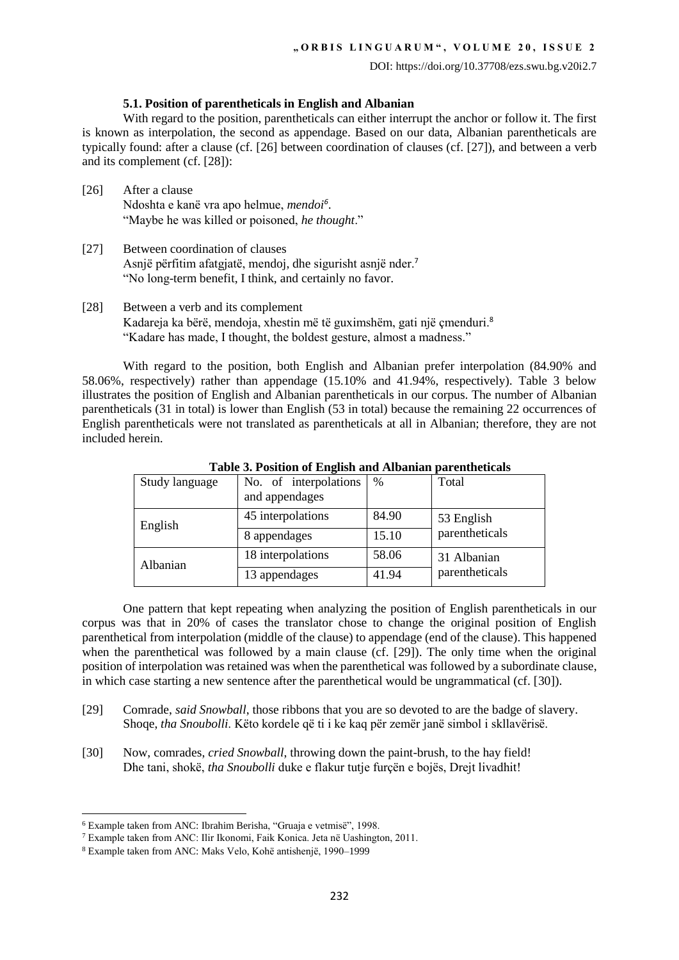## **5.1. Position of parentheticals in English and Albanian**

With regard to the position, parentheticals can either interrupt the anchor or follow it. The first is known as interpolation, the second as appendage. Based on our data, Albanian parentheticals are typically found: after a clause (cf. [26] between coordination of clauses (cf. [27]), and between a verb and its complement (cf. [28]):

- [26] After a clause Ndoshta e kanë vra apo helmue, *mendoi<sup>6</sup>* . "Maybe he was killed or poisoned, *he thought*."
- [27] Between coordination of clauses Asnjë përfitim afatgjatë, mendoj, dhe sigurisht asnjë nder.<sup>7</sup> "No long-term benefit, I think, and certainly no favor.
- [28] Between a verb and its complement Kadareja ka bërë, mendoja, xhestin më të guximshëm, gati një çmenduri.<sup>8</sup> "Kadare has made, I thought, the boldest gesture, almost a madness."

With regard to the position, both English and Albanian prefer interpolation (84.90% and 58.06%, respectively) rather than appendage (15.10% and 41.94%, respectively). Table 3 below illustrates the position of English and Albanian parentheticals in our corpus. The number of Albanian parentheticals (31 in total) is lower than English (53 in total) because the remaining 22 occurrences of English parentheticals were not translated as parentheticals at all in Albanian; therefore, they are not included herein.

| Study language | No. of interpolations<br>and appendages | $\%$  | Total          |
|----------------|-----------------------------------------|-------|----------------|
| English        | 45 interpolations                       | 84.90 | 53 English     |
|                | 8 appendages                            | 15.10 | parentheticals |
| Albanian       | 18 interpolations                       | 58.06 | 31 Albanian    |
|                | 13 appendages                           | 41.94 | parentheticals |

**Table 3. Position of English and Albanian parentheticals**

One pattern that kept repeating when analyzing the position of English parentheticals in our corpus was that in 20% of cases the translator chose to change the original position of English parenthetical from interpolation (middle of the clause) to appendage (end of the clause). This happened when the parenthetical was followed by a main clause (cf. [29]). The only time when the original position of interpolation was retained was when the parenthetical was followed by a subordinate clause, in which case starting a new sentence after the parenthetical would be ungrammatical (cf. [30]).

- [29] Comrade, *said Snowball*, those ribbons that you are so devoted to are the badge of slavery. Shoqe, *tha Snoubolli*. Këto kordele që ti i ke kaq për zemër janë simbol i skllavërisë.
- [30] Now, comrades, *cried Snowball*, throwing down the paint-brush, to the hay field! Dhe tani, shokë, *tha Snoubolli* duke e flakur tutje furçën e bojës, Drejt livadhit!

**<sup>.</sup>** <sup>6</sup> Example taken from ANC: Ibrahim Berisha, "Gruaja e vetmisë", 1998.

<sup>7</sup> Example taken from ANC: Ilir Ikonomi, Faik Konica. Jeta në Uashington, 2011.

<sup>8</sup> Example taken from ANC: Maks Velo, Kohë antishenjë, 1990–1999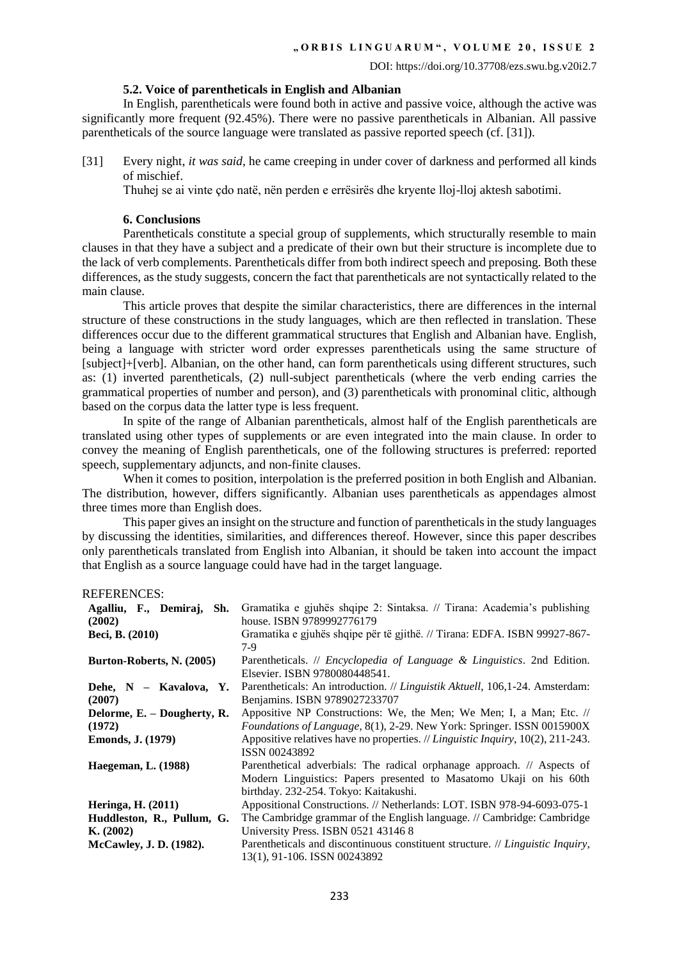## **5.2. Voice of parentheticals in English and Albanian**

In English, parentheticals were found both in active and passive voice, although the active was significantly more frequent (92.45%). There were no passive parentheticals in Albanian. All passive parentheticals of the source language were translated as passive reported speech (cf. [31]).

[31] Every night, *it was said*, he came creeping in under cover of darkness and performed all kinds of mischief.

Thuhej se ai vinte çdo natë, nën perden e errësirës dhe kryente lloj-lloj aktesh sabotimi.

# **6. Conclusions**

Parentheticals constitute a special group of supplements, which structurally resemble to main clauses in that they have a subject and a predicate of their own but their structure is incomplete due to the lack of verb complements. Parentheticals differ from both indirect speech and preposing. Both these differences, as the study suggests, concern the fact that parentheticals are not syntactically related to the main clause.

This article proves that despite the similar characteristics, there are differences in the internal structure of these constructions in the study languages, which are then reflected in translation. These differences occur due to the different grammatical structures that English and Albanian have. English, being a language with stricter word order expresses parentheticals using the same structure of [subject]+[verb]. Albanian, on the other hand, can form parentheticals using different structures, such as: (1) inverted parentheticals, (2) null-subject parentheticals (where the verb ending carries the grammatical properties of number and person), and (3) parentheticals with pronominal clitic, although based on the corpus data the latter type is less frequent.

In spite of the range of Albanian parentheticals, almost half of the English parentheticals are translated using other types of supplements or are even integrated into the main clause. In order to convey the meaning of English parentheticals, one of the following structures is preferred: reported speech, supplementary adjuncts, and non-finite clauses.

When it comes to position, interpolation is the preferred position in both English and Albanian. The distribution, however, differs significantly. Albanian uses parentheticals as appendages almost three times more than English does.

This paper gives an insight on the structure and function of parentheticals in the study languages by discussing the identities, similarities, and differences thereof. However, since this paper describes only parentheticals translated from English into Albanian, it should be taken into account the impact that English as a source language could have had in the target language.

# REFERENCES:

| Agalliu, F., Demiraj,<br>Sh.<br>(2002) | Gramatika e gjuhës shqipe 2: Sintaksa. // Tirana: Academia's publishing<br>house. ISBN 9789992776179                                                                                   |
|----------------------------------------|----------------------------------------------------------------------------------------------------------------------------------------------------------------------------------------|
| Beci, B. (2010)                        | Gramatika e gjuhës shqipe për të gjithë. // Tirana: EDFA. ISBN 99927-867-<br>7-9                                                                                                       |
| Burton-Roberts, N. (2005)              | Parentheticals. $//$ <i>Encyclopedia of Language &amp; Linguistics</i> . 2nd Edition.<br>Elsevier. ISBN 9780080448541.                                                                 |
| Dehe, N - Kavalova, Y.<br>(2007)       | Parentheticals: An introduction. // Linguistik Aktuell, 106,1-24. Amsterdam:<br>Benjamins. ISBN 9789027233707                                                                          |
| Delorme, E. – Dougherty, R.<br>(1972)  | Appositive NP Constructions: We, the Men; We Men; I, a Man; Etc. //<br>Foundations of Language, 8(1), 2-29. New York: Springer. ISSN 0015900X                                          |
| <b>Emonds, J. (1979)</b>               | Appositive relatives have no properties. // Linguistic Inquiry, 10(2), 211-243.<br>ISSN 00243892                                                                                       |
| <b>Haegeman, L.</b> (1988)             | Parenthetical adverbials: The radical orphanage approach. // Aspects of<br>Modern Linguistics: Papers presented to Masatomo Ukaji on his 60th<br>birthday. 232-254. Tokyo: Kaitakushi. |
| <b>Heringa</b> , <b>H.</b> (2011)      | Appositional Constructions. // Netherlands: LOT. ISBN 978-94-6093-075-1                                                                                                                |
| Huddleston, R., Pullum, G.             | The Cambridge grammar of the English language. // Cambridge: Cambridge                                                                                                                 |
| K. (2002)                              | University Press. ISBN 0521 431468                                                                                                                                                     |
| <b>McCawley, J. D. (1982).</b>         | Parentheticals and discontinuous constituent structure. // Linguistic Inquiry,<br>13(1), 91-106. ISSN 00243892                                                                         |